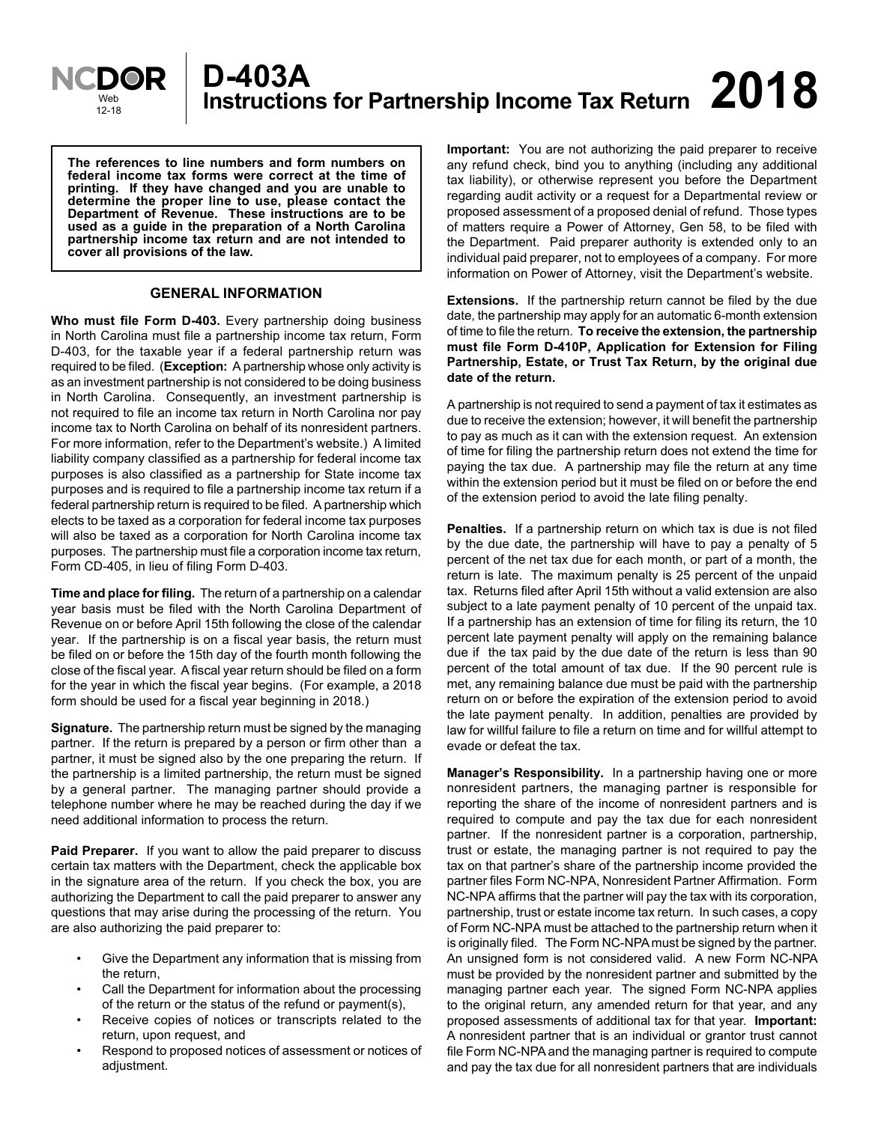

**The references to line numbers and form numbers on federal income tax forms were correct at the time of printing. If they have changed and you are unable to determine the proper line to use, please contact the Department of Revenue. These instructions are to be used as a guide in the preparation of a North Carolina partnership income tax return and are not intended to cover all provisions of the law.**

# **GENERAL INFORMATION**

**Who must file Form D-403.** Every partnership doing business in North Carolina must file a partnership income tax return, Form D-403, for the taxable year if a federal partnership return was required to be filed. (**Exception:** A partnership whose only activity is as an investment partnership is not considered to be doing business in North Carolina. Consequently, an investment partnership is not required to file an income tax return in North Carolina nor pay income tax to North Carolina on behalf of its nonresident partners. For more information, refer to the Department's website.) A limited liability company classified as a partnership for federal income tax purposes is also classified as a partnership for State income tax purposes and is required to file a partnership income tax return if a federal partnership return is required to be filed. A partnership which elects to be taxed as a corporation for federal income tax purposes will also be taxed as a corporation for North Carolina income tax purposes. The partnership must file a corporation income tax return, Form CD-405, in lieu of filing Form D-403.

**Time and place for filing.** The return of a partnership on a calendar year basis must be filed with the North Carolina Department of Revenue on or before April 15th following the close of the calendar year. If the partnership is on a fiscal year basis, the return must be filed on or before the 15th day of the fourth month following the close of the fiscal year. A fiscal year return should be filed on a form for the year in which the fiscal year begins. (For example, a 2018 form should be used for a fiscal year beginning in 2018.)

**Signature.** The partnership return must be signed by the managing partner. If the return is prepared by a person or firm other than a partner, it must be signed also by the one preparing the return. If the partnership is a limited partnership, the return must be signed by a general partner. The managing partner should provide a telephone number where he may be reached during the day if we need additional information to process the return.

**Paid Preparer.** If you want to allow the paid preparer to discuss certain tax matters with the Department, check the applicable box in the signature area of the return. If you check the box, you are authorizing the Department to call the paid preparer to answer any questions that may arise during the processing of the return. You are also authorizing the paid preparer to:

- Give the Department any information that is missing from the return,
- Call the Department for information about the processing of the return or the status of the refund or payment(s),
- Receive copies of notices or transcripts related to the return, upon request, and
- Respond to proposed notices of assessment or notices of adjustment.

**Important:** You are not authorizing the paid preparer to receive any refund check, bind you to anything (including any additional tax liability), or otherwise represent you before the Department regarding audit activity or a request for a Departmental review or proposed assessment of a proposed denial of refund. Those types of matters require a Power of Attorney, Gen 58, to be filed with the Department. Paid preparer authority is extended only to an individual paid preparer, not to employees of a company. For more information on Power of Attorney, visit the Department's website.

**Extensions.** If the partnership return cannot be filed by the due date, the partnership may apply for an automatic 6-month extension of time to file the return. **To receive the extension, the partnership must file Form D-410P, Application for Extension for Filing Partnership, Estate, or Trust Tax Return, by the original due date of the return.**

A partnership is not required to send a payment of tax it estimates as due to receive the extension; however, it will benefit the partnership to pay as much as it can with the extension request. An extension of time for filing the partnership return does not extend the time for paying the tax due. A partnership may file the return at any time within the extension period but it must be filed on or before the end of the extension period to avoid the late filing penalty.

**Penalties.** If a partnership return on which tax is due is not filed by the due date, the partnership will have to pay a penalty of 5 percent of the net tax due for each month, or part of a month, the return is late. The maximum penalty is 25 percent of the unpaid tax. Returns filed after April 15th without a valid extension are also subject to a late payment penalty of 10 percent of the unpaid tax. If a partnership has an extension of time for filing its return, the 10 percent late payment penalty will apply on the remaining balance due if the tax paid by the due date of the return is less than 90 percent of the total amount of tax due. If the 90 percent rule is met, any remaining balance due must be paid with the partnership return on or before the expiration of the extension period to avoid the late payment penalty. In addition, penalties are provided by law for willful failure to file a return on time and for willful attempt to evade or defeat the tax.

**Manager's Responsibility.** In a partnership having one or more nonresident partners, the managing partner is responsible for reporting the share of the income of nonresident partners and is required to compute and pay the tax due for each nonresident partner. If the nonresident partner is a corporation, partnership, trust or estate, the managing partner is not required to pay the tax on that partner's share of the partnership income provided the partner files Form NC-NPA, Nonresident Partner Affirmation. Form NC-NPA affirms that the partner will pay the tax with its corporation, partnership, trust or estate income tax return. In such cases, a copy of Form NC-NPA must be attached to the partnership return when it is originally filed. The Form NC-NPA must be signed by the partner. An unsigned form is not considered valid. A new Form NC-NPA must be provided by the nonresident partner and submitted by the managing partner each year. The signed Form NC-NPA applies to the original return, any amended return for that year, and any proposed assessments of additional tax for that year. **Important:**  A nonresident partner that is an individual or grantor trust cannot file Form NC-NPA and the managing partner is required to compute and pay the tax due for all nonresident partners that are individuals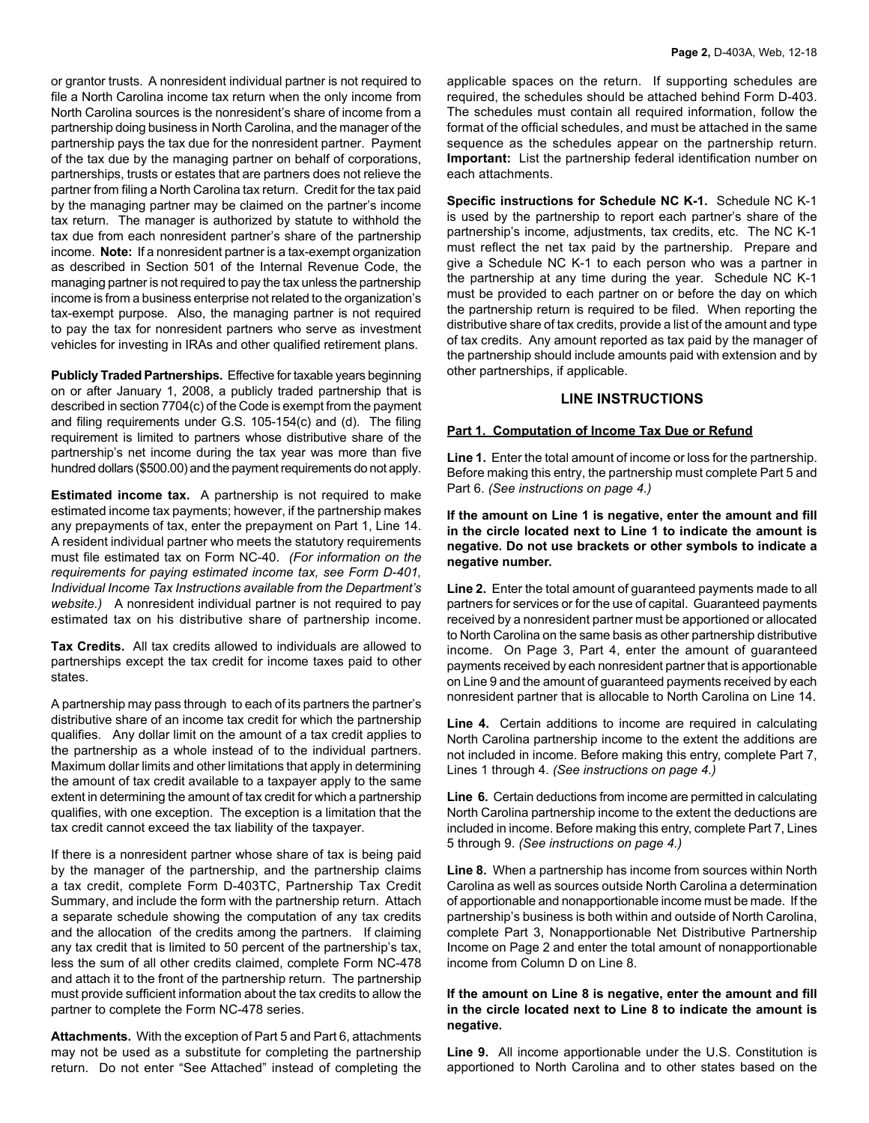or grantor trusts. A nonresident individual partner is not required to file a North Carolina income tax return when the only income from North Carolina sources is the nonresident's share of income from a partnership doing business in North Carolina, and the manager of the partnership pays the tax due for the nonresident partner. Payment of the tax due by the managing partner on behalf of corporations, partnerships, trusts or estates that are partners does not relieve the partner from filing a North Carolina tax return. Credit for the tax paid by the managing partner may be claimed on the partner's income tax return. The manager is authorized by statute to withhold the tax due from each nonresident partner's share of the partnership income. **Note:** If a nonresident partner is a tax-exempt organization as described in Section 501 of the Internal Revenue Code, the managing partner is not required to pay the tax unless the partnership income is from a business enterprise not related to the organization's tax-exempt purpose. Also, the managing partner is not required to pay the tax for nonresident partners who serve as investment vehicles for investing in IRAs and other qualified retirement plans.

**Publicly Traded Partnerships.** Effective for taxable years beginning on or after January 1, 2008, a publicly traded partnership that is described in section 7704(c) of the Code is exempt from the payment and filing requirements under G.S. 105-154(c) and (d). The filing requirement is limited to partners whose distributive share of the partnership's net income during the tax year was more than five hundred dollars (\$500.00) and the payment requirements do not apply.

**Estimated income tax.** A partnership is not required to make estimated income tax payments; however, if the partnership makes any prepayments of tax, enter the prepayment on Part 1, Line 14. A resident individual partner who meets the statutory requirements must file estimated tax on Form NC-40. *(For information on the requirements for paying estimated income tax, see Form D-401, Individual Income Tax Instructions available from the Department's website.)* A nonresident individual partner is not required to pay estimated tax on his distributive share of partnership income.

**Tax Credits.** All tax credits allowed to individuals are allowed to partnerships except the tax credit for income taxes paid to other states.

A partnership may pass through to each of its partners the partner's distributive share of an income tax credit for which the partnership qualifies. Any dollar limit on the amount of a tax credit applies to the partnership as a whole instead of to the individual partners. Maximum dollar limits and other limitations that apply in determining the amount of tax credit available to a taxpayer apply to the same extent in determining the amount of tax credit for which a partnership qualifies, with one exception. The exception is a limitation that the tax credit cannot exceed the tax liability of the taxpayer.

If there is a nonresident partner whose share of tax is being paid by the manager of the partnership, and the partnership claims a tax credit, complete Form D-403TC, Partnership Tax Credit Summary, and include the form with the partnership return. Attach a separate schedule showing the computation of any tax credits and the allocation of the credits among the partners. If claiming any tax credit that is limited to 50 percent of the partnership's tax, less the sum of all other credits claimed, complete Form NC-478 and attach it to the front of the partnership return. The partnership must provide sufficient information about the tax credits to allow the partner to complete the Form NC-478 series.

**Attachments.** With the exception of Part 5 and Part 6, attachments may not be used as a substitute for completing the partnership return. Do not enter "See Attached" instead of completing the

applicable spaces on the return. If supporting schedules are required, the schedules should be attached behind Form D-403. The schedules must contain all required information, follow the format of the official schedules, and must be attached in the same sequence as the schedules appear on the partnership return. **Important:** List the partnership federal identification number on each attachments.

**Specific instructions for Schedule NC K-1.** Schedule NC K-1 is used by the partnership to report each partner's share of the partnership's income, adjustments, tax credits, etc. The NC K-1 must reflect the net tax paid by the partnership. Prepare and give a Schedule NC K-1 to each person who was a partner in the partnership at any time during the year. Schedule NC K-1 must be provided to each partner on or before the day on which the partnership return is required to be filed. When reporting the distributive share of tax credits, provide a list of the amount and type of tax credits. Any amount reported as tax paid by the manager of the partnership should include amounts paid with extension and by other partnerships, if applicable.

## **LINE INSTRUCTIONS**

## **Part 1. Computation of Income Tax Due or Refund**

**Line 1.** Enter the total amount of income or loss for the partnership. Before making this entry, the partnership must complete Part 5 and Part 6. *(See instructions on page 4.)*

**If the amount on Line 1 is negative, enter the amount and fill in the circle located next to Line 1 to indicate the amount is negative. Do not use brackets or other symbols to indicate a negative number.**

**Line 2.** Enter the total amount of guaranteed payments made to all partners for services or for the use of capital. Guaranteed payments received by a nonresident partner must be apportioned or allocated to North Carolina on the same basis as other partnership distributive income. On Page 3, Part 4, enter the amount of guaranteed payments received by each nonresident partner that is apportionable on Line 9 and the amount of guaranteed payments received by each nonresident partner that is allocable to North Carolina on Line 14.

**Line 4.** Certain additions to income are required in calculating North Carolina partnership income to the extent the additions are not included in income. Before making this entry, complete Part 7, Lines 1 through 4. *(See instructions on page 4.)* 

**Line 6.** Certain deductions from income are permitted in calculating North Carolina partnership income to the extent the deductions are included in income. Before making this entry, complete Part 7, Lines 5 through 9. *(See instructions on page 4.)* 

**Line 8.** When a partnership has income from sources within North Carolina as well as sources outside North Carolina a determination of apportionable and nonapportionable income must be made. If the partnership's business is both within and outside of North Carolina, complete Part 3, Nonapportionable Net Distributive Partnership Income on Page 2 and enter the total amount of nonapportionable income from Column D on Line 8.

#### **If the amount on Line 8 is negative, enter the amount and fill in the circle located next to Line 8 to indicate the amount is negative.**

**Line 9.** All income apportionable under the U.S. Constitution is apportioned to North Carolina and to other states based on the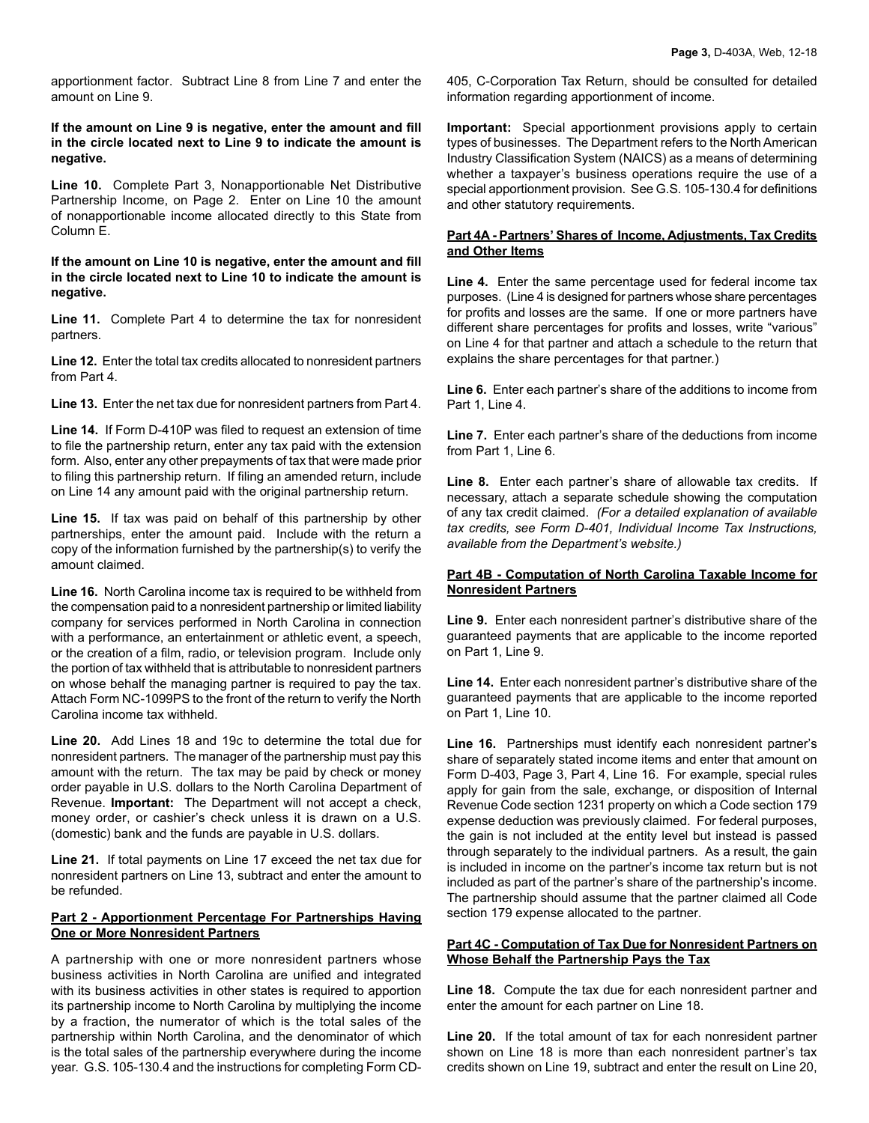apportionment factor. Subtract Line 8 from Line 7 and enter the amount on Line 9.

## **If the amount on Line 9 is negative, enter the amount and fill in the circle located next to Line 9 to indicate the amount is negative.**

**Line 10.** Complete Part 3, Nonapportionable Net Distributive Partnership Income, on Page 2. Enter on Line 10 the amount of nonapportionable income allocated directly to this State from Column E.

### **If the amount on Line 10 is negative, enter the amount and fill in the circle located next to Line 10 to indicate the amount is negative.**

**Line 11.** Complete Part 4 to determine the tax for nonresident partners.

**Line 12.** Enter the total tax credits allocated to nonresident partners from Part 4.

**Line 13.** Enter the net tax due for nonresident partners from Part 4.

**Line 14.** If Form D-410P was filed to request an extension of time to file the partnership return, enter any tax paid with the extension form. Also, enter any other prepayments of tax that were made prior to filing this partnership return. If filing an amended return, include on Line 14 any amount paid with the original partnership return.

**Line 15.** If tax was paid on behalf of this partnership by other partnerships, enter the amount paid. Include with the return a copy of the information furnished by the partnership(s) to verify the amount claimed.

**Line 16.** North Carolina income tax is required to be withheld from the compensation paid to a nonresident partnership or limited liability company for services performed in North Carolina in connection with a performance, an entertainment or athletic event, a speech, or the creation of a film, radio, or television program. Include only the portion of tax withheld that is attributable to nonresident partners on whose behalf the managing partner is required to pay the tax. Attach Form NC-1099PS to the front of the return to verify the North Carolina income tax withheld.

**Line 20.** Add Lines 18 and 19c to determine the total due for nonresident partners. The manager of the partnership must pay this amount with the return. The tax may be paid by check or money order payable in U.S. dollars to the North Carolina Department of Revenue. **Important:** The Department will not accept a check, money order, or cashier's check unless it is drawn on a U.S. (domestic) bank and the funds are payable in U.S. dollars.

**Line 21.** If total payments on Line 17 exceed the net tax due for nonresident partners on Line 13, subtract and enter the amount to be refunded.

## **Part 2 - Apportionment Percentage For Partnerships Having One or More Nonresident Partners**

A partnership with one or more nonresident partners whose business activities in North Carolina are unified and integrated with its business activities in other states is required to apportion its partnership income to North Carolina by multiplying the income by a fraction, the numerator of which is the total sales of the partnership within North Carolina, and the denominator of which is the total sales of the partnership everywhere during the income year. G.S. 105-130.4 and the instructions for completing Form CD-

405, C-Corporation Tax Return, should be consulted for detailed information regarding apportionment of income.

**Important:** Special apportionment provisions apply to certain types of businesses. The Department refers to the North American Industry Classification System (NAICS) as a means of determining whether a taxpayer's business operations require the use of a special apportionment provision. See G.S. 105-130.4 for definitions and other statutory requirements.

#### **Part 4A - Partners' Shares of Income, Adjustments, Tax Credits and Other Items**

**Line 4.** Enter the same percentage used for federal income tax purposes. (Line 4 is designed for partners whose share percentages for profits and losses are the same. If one or more partners have different share percentages for profits and losses, write "various" on Line 4 for that partner and attach a schedule to the return that explains the share percentages for that partner.)

**Line 6.** Enter each partner's share of the additions to income from Part 1, Line 4.

**Line 7.** Enter each partner's share of the deductions from income from Part 1, Line 6.

**Line 8.** Enter each partner's share of allowable tax credits. If necessary, attach a separate schedule showing the computation of any tax credit claimed. *(For a detailed explanation of available tax credits, see Form D-401, Individual Income Tax Instructions, available from the Department's website.)*

## **Part 4B - Computation of North Carolina Taxable Income for Nonresident Partners**

**Line 9.** Enter each nonresident partner's distributive share of the guaranteed payments that are applicable to the income reported on Part 1, Line 9.

**Line 14.** Enter each nonresident partner's distributive share of the guaranteed payments that are applicable to the income reported on Part 1, Line 10.

**Line 16.** Partnerships must identify each nonresident partner's share of separately stated income items and enter that amount on Form D-403, Page 3, Part 4, Line 16. For example, special rules apply for gain from the sale, exchange, or disposition of Internal Revenue Code section 1231 property on which a Code section 179 expense deduction was previously claimed. For federal purposes, the gain is not included at the entity level but instead is passed through separately to the individual partners. As a result, the gain is included in income on the partner's income tax return but is not included as part of the partner's share of the partnership's income. The partnership should assume that the partner claimed all Code section 179 expense allocated to the partner.

## **Part 4C - Computation of Tax Due for Nonresident Partners on Whose Behalf the Partnership Pays the Tax**

**Line 18.** Compute the tax due for each nonresident partner and enter the amount for each partner on Line 18.

**Line 20.** If the total amount of tax for each nonresident partner shown on Line 18 is more than each nonresident partner's tax credits shown on Line 19, subtract and enter the result on Line 20,